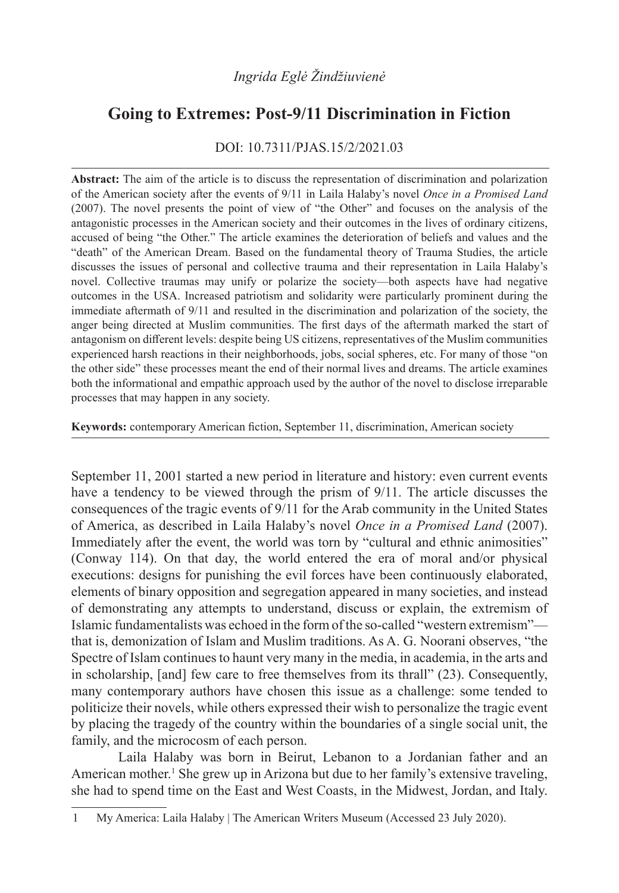# **Going to Extremes: Post-9/11 Discrimination in Fiction**

DOI: 10.7311/PJAS.15/2/2021.03

**Abstract:** The aim of the article is to discuss the representation of discrimination and polarization of the American society after the events of 9/11 in Laila Halaby's novel *Once in a Promised Land* (2007). The novel presents the point of view of "the Other" and focuses on the analysis of the antagonistic processes in the American society and their outcomes in the lives of ordinary citizens, accused of being "the Other." The article examines the deterioration of beliefs and values and the "death" of the American Dream. Based on the fundamental theory of Trauma Studies, the article discusses the issues of personal and collective trauma and their representation in Laila Halaby's novel. Collective traumas may unify or polarize the society—both aspects have had negative outcomes in the USA. Increased patriotism and solidarity were particularly prominent during the immediate aftermath of 9/11 and resulted in the discrimination and polarization of the society, the anger being directed at Muslim communities. The first days of the aftermath marked the start of antagonism on different levels: despite being US citizens, representatives of the Muslim communities experienced harsh reactions in their neighborhoods, jobs, social spheres, etc. For many of those "on the other side" these processes meant the end of their normal lives and dreams. The article examines both the informational and empathic approach used by the author of the novel to disclose irreparable processes that may happen in any society.

**Keywords:** contemporary American fiction, September 11, discrimination, American society

September 11, 2001 started a new period in literature and history: even current events have a tendency to be viewed through the prism of 9/11. The article discusses the consequences of the tragic events of 9/11 for the Arab community in the United States of America, as described in Laila Halaby's novel *Once in a Promised Land* (2007). Immediately after the event, the world was torn by "cultural and ethnic animosities" (Conway 114). On that day, the world entered the era of moral and/or physical executions: designs for punishing the evil forces have been continuously elaborated, elements of binary opposition and segregation appeared in many societies, and instead of demonstrating any attempts to understand, discuss or explain, the extremism of Islamic fundamentalists was echoed in the form of the so-called "western extremism" that is, demonization of Islam and Muslim traditions. As A. G. Noorani observes, "the Spectre of Islam continues to haunt very many in the media, in academia, in the arts and in scholarship, [and] few care to free themselves from its thrall" (23). Consequently, many contemporary authors have chosen this issue as a challenge: some tended to politicize their novels, while others expressed their wish to personalize the tragic event by placing the tragedy of the country within the boundaries of a single social unit, the family, and the microcosm of each person.

Laila Halaby was born in Beirut, Lebanon to a Jordanian father and an American mother.<sup>1</sup> She grew up in Arizona but due to her family's extensive traveling, she had to spend time on the East and West Coasts, in the Midwest, Jordan, and Italy.

<sup>1</sup> My America: Laila Halaby | The American Writers Museum (Accessed 23 July 2020).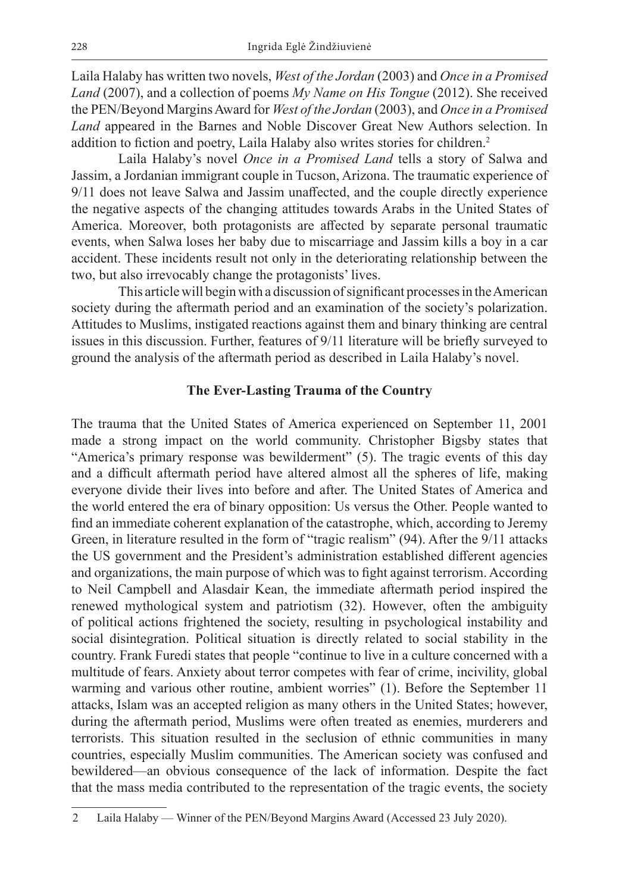Laila Halaby has written two novels, *West of the Jordan* (2003) and *Once in a Promised Land* (2007), and a collection of poems *My Name on His Tongue* (2012). She received the PEN/Beyond Margins Award for *West of the Jordan* (2003), and *Once in a Promised Land* appeared in the Barnes and Noble Discover Great New Authors selection. In addition to fiction and poetry, Laila Halaby also writes stories for children.<sup>2</sup>

Laila Halaby's novel *Once in a Promised Land* tells a story of Salwa and Jassim, a Jordanian immigrant couple in Tucson, Arizona. The traumatic experience of 9/11 does not leave Salwa and Jassim unaffected, and the couple directly experience the negative aspects of the changing attitudes towards Arabs in the United States of America. Moreover, both protagonists are affected by separate personal traumatic events, when Salwa loses her baby due to miscarriage and Jassim kills a boy in a car accident. These incidents result not only in the deteriorating relationship between the two, but also irrevocably change the protagonists' lives.

This article will begin with a discussion of significant processes in the American society during the aftermath period and an examination of the society's polarization. Attitudes to Muslims, instigated reactions against them and binary thinking are central issues in this discussion. Further, features of 9/11 literature will be briefly surveyed to ground the analysis of the aftermath period as described in Laila Halaby's novel.

### **The Ever-Lasting Trauma of the Country**

The trauma that the United States of America experienced on September 11, 2001 made a strong impact on the world community. Christopher Bigsby states that "America's primary response was bewilderment" (5). The tragic events of this day and a difficult aftermath period have altered almost all the spheres of life, making everyone divide their lives into before and after. The United States of America and the world entered the era of binary opposition: Us versus the Other. People wanted to find an immediate coherent explanation of the catastrophe, which, according to Jeremy Green, in literature resulted in the form of "tragic realism" (94). After the 9/11 attacks the US government and the President's administration established different agencies and organizations, the main purpose of which was to fight against terrorism. According to Neil Campbell and Alasdair Kean, the immediate aftermath period inspired the renewed mythological system and patriotism (32). However, often the ambiguity of political actions frightened the society, resulting in psychological instability and social disintegration. Political situation is directly related to social stability in the country. Frank Furedi states that people "continue to live in a culture concerned with a multitude of fears. Anxiety about terror competes with fear of crime, incivility, global warming and various other routine, ambient worries" (1). Before the September 11 attacks, Islam was an accepted religion as many others in the United States; however, during the aftermath period, Muslims were often treated as enemies, murderers and terrorists. This situation resulted in the seclusion of ethnic communities in many countries, especially Muslim communities. The American society was confused and bewildered—an obvious consequence of the lack of information. Despite the fact that the mass media contributed to the representation of the tragic events, the society

<sup>2</sup> Laila Halaby — Winner of the PEN/Beyond Margins Award (Accessed 23 July 2020).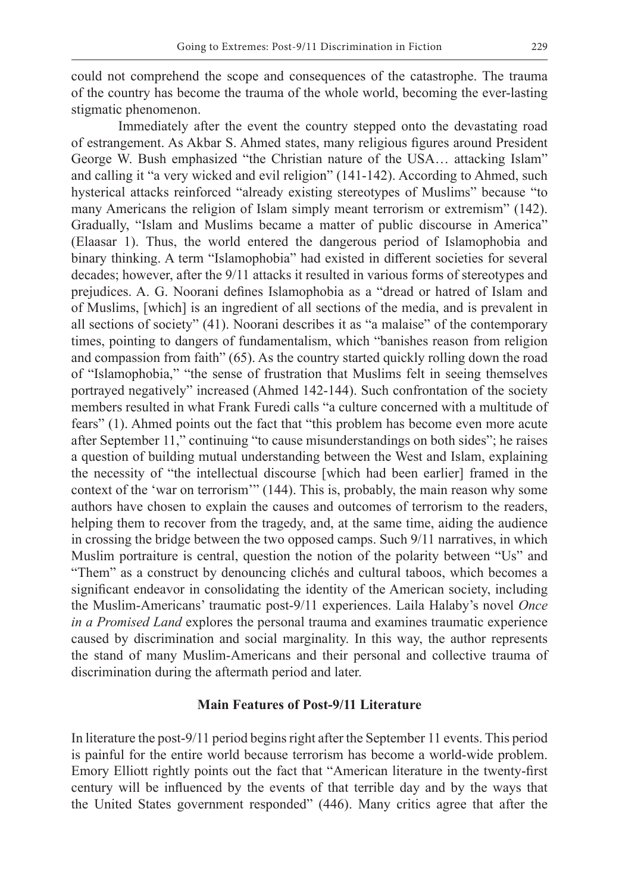could not comprehend the scope and consequences of the catastrophe. The trauma of the country has become the trauma of the whole world, becoming the ever-lasting stigmatic phenomenon.

Immediately after the event the country stepped onto the devastating road of estrangement. As Akbar S. Ahmed states, many religious figures around President George W. Bush emphasized "the Christian nature of the USA… attacking Islam" and calling it "a very wicked and evil religion" (141-142). According to Ahmed, such hysterical attacks reinforced "already existing stereotypes of Muslims" because "to many Americans the religion of Islam simply meant terrorism or extremism" (142). Gradually, "Islam and Muslims became a matter of public discourse in America" (Elaasar 1). Thus, the world entered the dangerous period of Islamophobia and binary thinking. A term "Islamophobia" had existed in different societies for several decades; however, after the 9/11 attacks it resulted in various forms of stereotypes and prejudices. A. G. Noorani defines Islamophobia as a "dread or hatred of Islam and of Muslims, [which] is an ingredient of all sections of the media, and is prevalent in all sections of society" (41). Noorani describes it as "a malaise" of the contemporary times, pointing to dangers of fundamentalism, which "banishes reason from religion and compassion from faith" (65). As the country started quickly rolling down the road of "Islamophobia," "the sense of frustration that Muslims felt in seeing themselves portrayed negatively" increased (Ahmed 142-144). Such confrontation of the society members resulted in what Frank Furedi calls "a culture concerned with a multitude of fears" (1). Ahmed points out the fact that "this problem has become even more acute after September 11," continuing "to cause misunderstandings on both sides"; he raises a question of building mutual understanding between the West and Islam, explaining the necessity of "the intellectual discourse [which had been earlier] framed in the context of the 'war on terrorism'" (144). This is, probably, the main reason why some authors have chosen to explain the causes and outcomes of terrorism to the readers, helping them to recover from the tragedy, and, at the same time, aiding the audience in crossing the bridge between the two opposed camps. Such 9/11 narratives, in which Muslim portraiture is central, question the notion of the polarity between "Us" and "Them" as a construct by denouncing clichés and cultural taboos, which becomes a significant endeavor in consolidating the identity of the American society, including the Muslim-Americans' traumatic post-9/11 experiences. Laila Halaby's novel *Once in a Promised Land* explores the personal trauma and examines traumatic experience caused by discrimination and social marginality. In this way, the author represents the stand of many Muslim-Americans and their personal and collective trauma of discrimination during the aftermath period and later.

### **Main Features of Post-9/11 Literature**

In literature the post-9/11 period begins right after the September 11 events. This period is painful for the entire world because terrorism has become a world-wide problem. Emory Elliott rightly points out the fact that "American literature in the twenty-first century will be influenced by the events of that terrible day and by the ways that the United States government responded" (446). Many critics agree that after the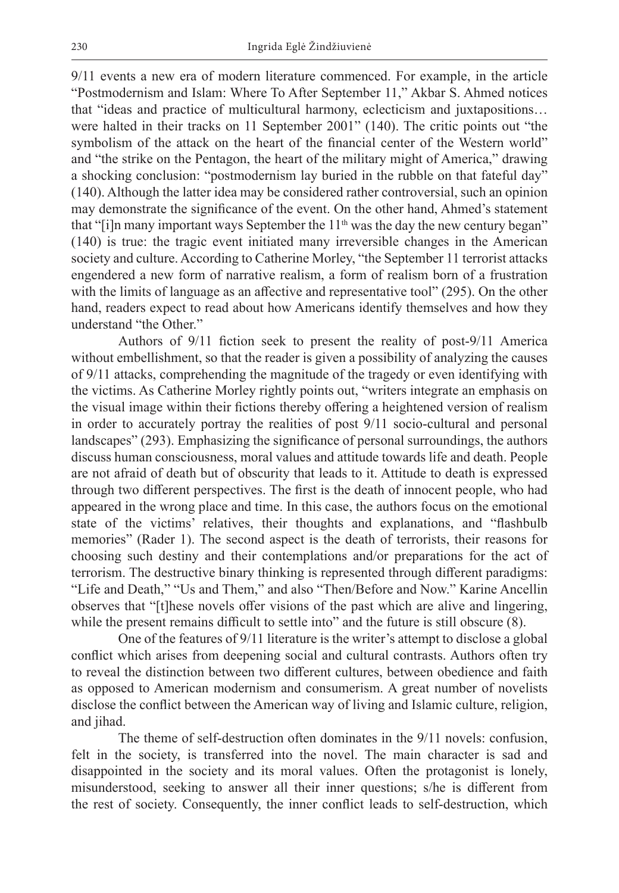9/11 events a new era of modern literature commenced. For example, in the article "Postmodernism and Islam: Where To After September 11," Akbar S. Ahmed notices that "ideas and practice of multicultural harmony, eclecticism and juxtapositions… were halted in their tracks on 11 September 2001" (140). The critic points out "the symbolism of the attack on the heart of the financial center of the Western world" and "the strike on the Pentagon, the heart of the military might of America," drawing a shocking conclusion: "postmodernism lay buried in the rubble on that fateful day" (140). Although the latter idea may be considered rather controversial, such an opinion may demonstrate the significance of the event. On the other hand, Ahmed's statement that "[i]n many important ways September the 11<sup>th</sup> was the day the new century began" (140) is true: the tragic event initiated many irreversible changes in the American society and culture. According to Catherine Morley, "the September 11 terrorist attacks engendered a new form of narrative realism, a form of realism born of a frustration with the limits of language as an affective and representative tool" (295). On the other hand, readers expect to read about how Americans identify themselves and how they understand "the Other."

Authors of 9/11 fiction seek to present the reality of post-9/11 America without embellishment, so that the reader is given a possibility of analyzing the causes of 9/11 attacks, comprehending the magnitude of the tragedy or even identifying with the victims. As Catherine Morley rightly points out, "writers integrate an emphasis on the visual image within their fictions thereby offering a heightened version of realism in order to accurately portray the realities of post 9/11 socio-cultural and personal landscapes" (293). Emphasizing the significance of personal surroundings, the authors discuss human consciousness, moral values and attitude towards life and death. People are not afraid of death but of obscurity that leads to it. Attitude to death is expressed through two different perspectives. The first is the death of innocent people, who had appeared in the wrong place and time. In this case, the authors focus on the emotional state of the victims' relatives, their thoughts and explanations, and "flashbulb memories" (Rader 1). The second aspect is the death of terrorists, their reasons for choosing such destiny and their contemplations and/or preparations for the act of terrorism. The destructive binary thinking is represented through different paradigms: "Life and Death," "Us and Them," and also "Then/Before and Now." Karine Ancellin observes that "[t]hese novels offer visions of the past which are alive and lingering, while the present remains difficult to settle into" and the future is still obscure (8).

One of the features of 9/11 literature is the writer's attempt to disclose a global conflict which arises from deepening social and cultural contrasts. Authors often try to reveal the distinction between two different cultures, between obedience and faith as opposed to American modernism and consumerism. A great number of novelists disclose the conflict between the American way of living and Islamic culture, religion, and jihad.

The theme of self-destruction often dominates in the 9/11 novels: confusion, felt in the society, is transferred into the novel. The main character is sad and disappointed in the society and its moral values. Often the protagonist is lonely, misunderstood, seeking to answer all their inner questions; s/he is different from the rest of society. Consequently, the inner conflict leads to self-destruction, which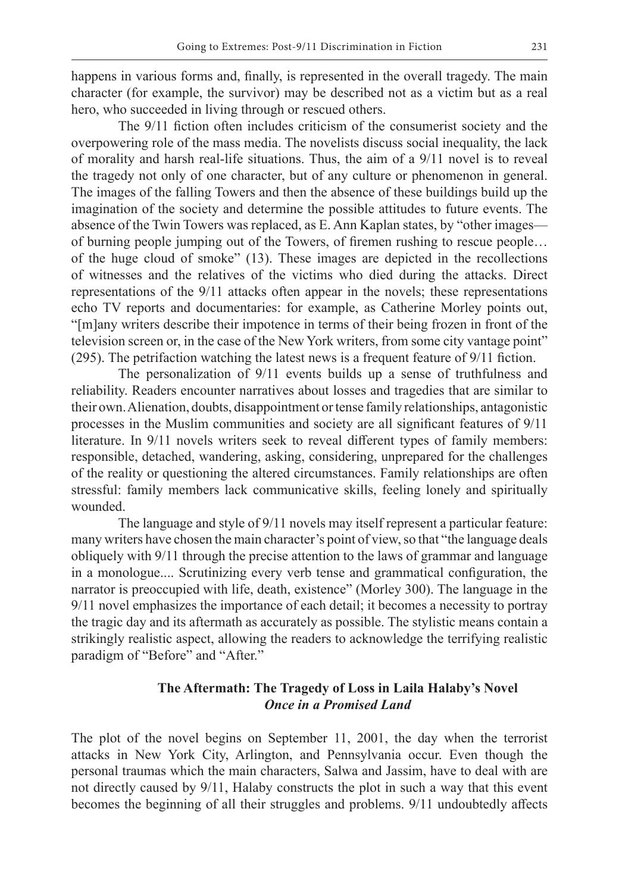happens in various forms and, finally, is represented in the overall tragedy. The main character (for example, the survivor) may be described not as a victim but as a real hero, who succeeded in living through or rescued others.

The 9/11 fiction often includes criticism of the consumerist society and the overpowering role of the mass media. The novelists discuss social inequality, the lack of morality and harsh real-life situations. Thus, the aim of a 9/11 novel is to reveal the tragedy not only of one character, but of any culture or phenomenon in general. The images of the falling Towers and then the absence of these buildings build up the imagination of the society and determine the possible attitudes to future events. The absence of the Twin Towers was replaced, as E. Ann Kaplan states, by "other images of burning people jumping out of the Towers, of firemen rushing to rescue people… of the huge cloud of smoke" (13). These images are depicted in the recollections of witnesses and the relatives of the victims who died during the attacks. Direct representations of the 9/11 attacks often appear in the novels; these representations echo TV reports and documentaries: for example, as Catherine Morley points out, "[m]any writers describe their impotence in terms of their being frozen in front of the television screen or, in the case of the New York writers, from some city vantage point" (295). The petrifaction watching the latest news is a frequent feature of 9/11 fiction.

The personalization of 9/11 events builds up a sense of truthfulness and reliability. Readers encounter narratives about losses and tragedies that are similar to their own. Alienation, doubts, disappointment or tense family relationships, antagonistic processes in the Muslim communities and society are all significant features of 9/11 literature. In 9/11 novels writers seek to reveal different types of family members: responsible, detached, wandering, asking, considering, unprepared for the challenges of the reality or questioning the altered circumstances. Family relationships are often stressful: family members lack communicative skills, feeling lonely and spiritually wounded.

The language and style of 9/11 novels may itself represent a particular feature: many writers have chosen the main character's point of view, so that "the language deals obliquely with 9/11 through the precise attention to the laws of grammar and language in a monologue.... Scrutinizing every verb tense and grammatical configuration, the narrator is preoccupied with life, death, existence" (Morley 300). The language in the 9/11 novel emphasizes the importance of each detail; it becomes a necessity to portray the tragic day and its aftermath as accurately as possible. The stylistic means contain a strikingly realistic aspect, allowing the readers to acknowledge the terrifying realistic paradigm of "Before" and "After."

## **The Aftermath: The Tragedy of Loss in Laila Halaby's Novel** *Once in a Promised Land*

The plot of the novel begins on September 11, 2001, the day when the terrorist attacks in New York City, Arlington, and Pennsylvania occur. Even though the personal traumas which the main characters, Salwa and Jassim, have to deal with are not directly caused by 9/11, Halaby constructs the plot in such a way that this event becomes the beginning of all their struggles and problems. 9/11 undoubtedly affects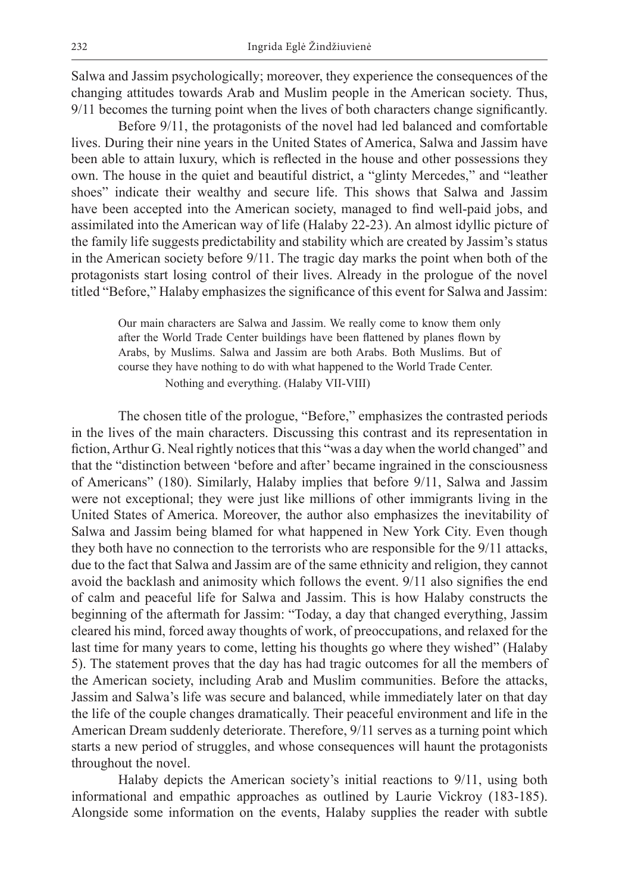Salwa and Jassim psychologically; moreover, they experience the consequences of the changing attitudes towards Arab and Muslim people in the American society. Thus, 9/11 becomes the turning point when the lives of both characters change significantly.

Before 9/11, the protagonists of the novel had led balanced and comfortable lives. During their nine years in the United States of America, Salwa and Jassim have been able to attain luxury, which is reflected in the house and other possessions they own. The house in the quiet and beautiful district, a "glinty Mercedes," and "leather shoes" indicate their wealthy and secure life. This shows that Salwa and Jassim have been accepted into the American society, managed to find well-paid jobs, and assimilated into the American way of life (Halaby 22-23). An almost idyllic picture of the family life suggests predictability and stability which are created by Jassim's status in the American society before 9/11. The tragic day marks the point when both of the protagonists start losing control of their lives. Already in the prologue of the novel titled "Before," Halaby emphasizes the significance of this event for Salwa and Jassim:

Our main characters are Salwa and Jassim. We really come to know them only after the World Trade Center buildings have been flattened by planes flown by Arabs, by Muslims. Salwa and Jassim are both Arabs. Both Muslims. But of course they have nothing to do with what happened to the World Trade Center. Nothing and everything. (Halaby VII-VIII)

The chosen title of the prologue, "Before," emphasizes the contrasted periods in the lives of the main characters. Discussing this contrast and its representation in fiction, Arthur G. Neal rightly notices that this "was a day when the world changed" and that the "distinction between 'before and after' became ingrained in the consciousness of Americans" (180). Similarly, Halaby implies that before 9/11, Salwa and Jassim were not exceptional; they were just like millions of other immigrants living in the United States of America. Moreover, the author also emphasizes the inevitability of Salwa and Jassim being blamed for what happened in New York City. Even though they both have no connection to the terrorists who are responsible for the 9/11 attacks, due to the fact that Salwa and Jassim are of the same ethnicity and religion, they cannot avoid the backlash and animosity which follows the event. 9/11 also signifies the end of calm and peaceful life for Salwa and Jassim. This is how Halaby constructs the beginning of the aftermath for Jassim: "Today, a day that changed everything, Jassim cleared his mind, forced away thoughts of work, of preoccupations, and relaxed for the last time for many years to come, letting his thoughts go where they wished" (Halaby 5). The statement proves that the day has had tragic outcomes for all the members of the American society, including Arab and Muslim communities. Before the attacks, Jassim and Salwa's life was secure and balanced, while immediately later on that day the life of the couple changes dramatically. Their peaceful environment and life in the American Dream suddenly deteriorate. Therefore, 9/11 serves as a turning point which starts a new period of struggles, and whose consequences will haunt the protagonists throughout the novel.

Halaby depicts the American society's initial reactions to 9/11, using both informational and empathic approaches as outlined by Laurie Vickroy (183-185). Alongside some information on the events, Halaby supplies the reader with subtle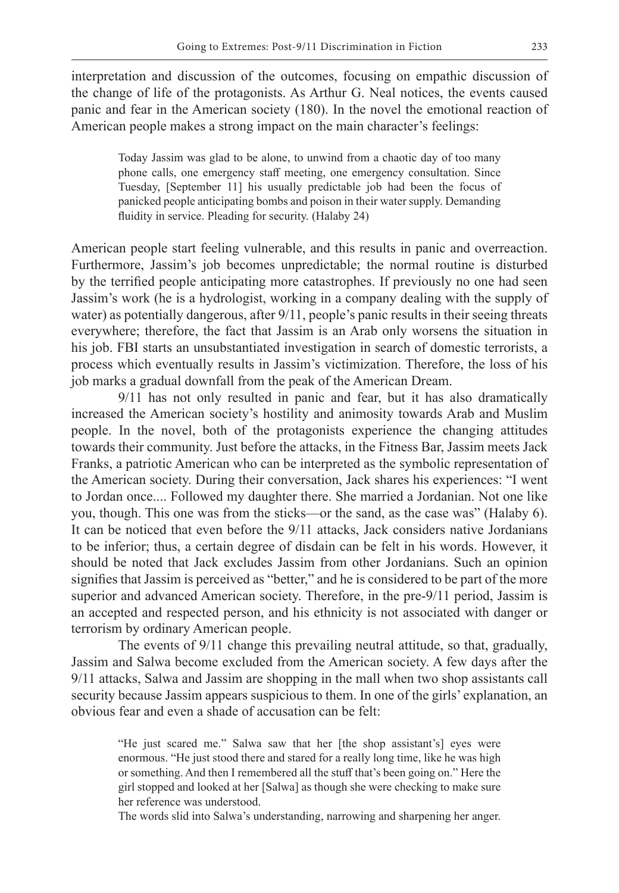interpretation and discussion of the outcomes, focusing on empathic discussion of the change of life of the protagonists. As Arthur G. Neal notices, the events caused panic and fear in the American society (180). In the novel the emotional reaction of American people makes a strong impact on the main character's feelings:

Today Jassim was glad to be alone, to unwind from a chaotic day of too many phone calls, one emergency staff meeting, one emergency consultation. Since Tuesday, [September 11] his usually predictable job had been the focus of panicked people anticipating bombs and poison in their water supply. Demanding fluidity in service. Pleading for security. (Halaby 24)

American people start feeling vulnerable, and this results in panic and overreaction. Furthermore, Jassim's job becomes unpredictable; the normal routine is disturbed by the terrified people anticipating more catastrophes. If previously no one had seen Jassim's work (he is a hydrologist, working in a company dealing with the supply of water) as potentially dangerous, after 9/11, people's panic results in their seeing threats everywhere; therefore, the fact that Jassim is an Arab only worsens the situation in his job. FBI starts an unsubstantiated investigation in search of domestic terrorists, a process which eventually results in Jassim's victimization. Therefore, the loss of his job marks a gradual downfall from the peak of the American Dream.

9/11 has not only resulted in panic and fear, but it has also dramatically increased the American society's hostility and animosity towards Arab and Muslim people. In the novel, both of the protagonists experience the changing attitudes towards their community. Just before the attacks, in the Fitness Bar, Jassim meets Jack Franks, a patriotic American who can be interpreted as the symbolic representation of the American society. During their conversation, Jack shares his experiences: "I went to Jordan once.... Followed my daughter there. She married a Jordanian. Not one like you, though. This one was from the sticks—or the sand, as the case was" (Halaby 6). It can be noticed that even before the 9/11 attacks, Jack considers native Jordanians to be inferior; thus, a certain degree of disdain can be felt in his words. However, it should be noted that Jack excludes Jassim from other Jordanians. Such an opinion signifies that Jassim is perceived as "better," and he is considered to be part of the more superior and advanced American society. Therefore, in the pre-9/11 period, Jassim is an accepted and respected person, and his ethnicity is not associated with danger or terrorism by ordinary American people.

The events of 9/11 change this prevailing neutral attitude, so that, gradually, Jassim and Salwa become excluded from the American society. A few days after the 9/11 attacks, Salwa and Jassim are shopping in the mall when two shop assistants call security because Jassim appears suspicious to them. In one of the girls' explanation, an obvious fear and even a shade of accusation can be felt:

"He just scared me." Salwa saw that her [the shop assistant's] eyes were enormous. "He just stood there and stared for a really long time, like he was high or something. And then I remembered all the stuff that's been going on." Here the girl stopped and looked at her [Salwa] as though she were checking to make sure her reference was understood.

The words slid into Salwa's understanding, narrowing and sharpening her anger.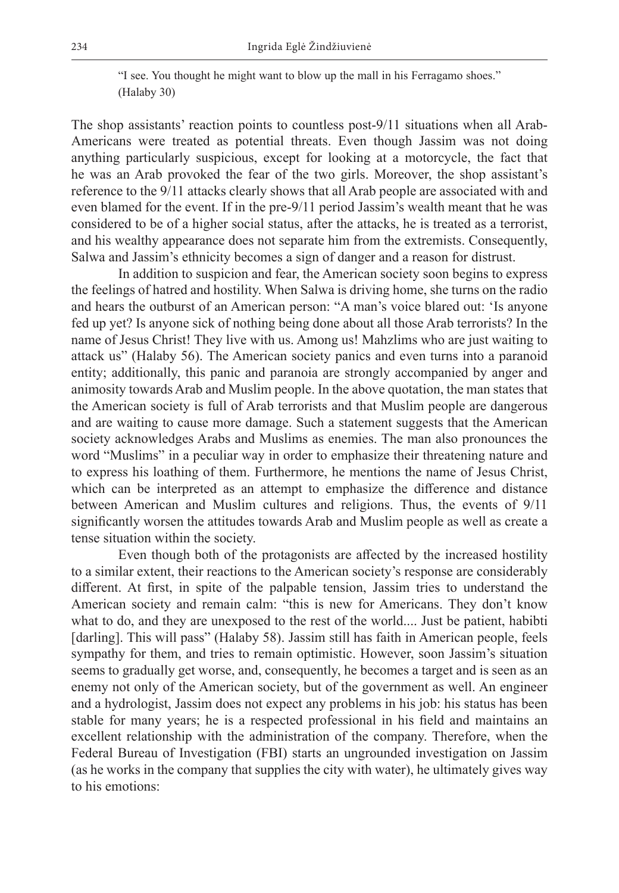"I see. You thought he might want to blow up the mall in his Ferragamo shoes." (Halaby 30)

The shop assistants' reaction points to countless post-9/11 situations when all Arab-Americans were treated as potential threats. Even though Jassim was not doing anything particularly suspicious, except for looking at a motorcycle, the fact that he was an Arab provoked the fear of the two girls. Moreover, the shop assistant's reference to the 9/11 attacks clearly shows that all Arab people are associated with and even blamed for the event. If in the pre-9/11 period Jassim's wealth meant that he was considered to be of a higher social status, after the attacks, he is treated as a terrorist, and his wealthy appearance does not separate him from the extremists. Consequently, Salwa and Jassim's ethnicity becomes a sign of danger and a reason for distrust.

In addition to suspicion and fear, the American society soon begins to express the feelings of hatred and hostility. When Salwa is driving home, she turns on the radio and hears the outburst of an American person: "A man's voice blared out: 'Is anyone fed up yet? Is anyone sick of nothing being done about all those Arab terrorists? In the name of Jesus Christ! They live with us. Among us! Mahzlims who are just waiting to attack us" (Halaby 56). The American society panics and even turns into a paranoid entity; additionally, this panic and paranoia are strongly accompanied by anger and animosity towards Arab and Muslim people. In the above quotation, the man states that the American society is full of Arab terrorists and that Muslim people are dangerous and are waiting to cause more damage. Such a statement suggests that the American society acknowledges Arabs and Muslims as enemies. The man also pronounces the word "Muslims" in a peculiar way in order to emphasize their threatening nature and to express his loathing of them. Furthermore, he mentions the name of Jesus Christ, which can be interpreted as an attempt to emphasize the difference and distance between American and Muslim cultures and religions. Thus, the events of 9/11 significantly worsen the attitudes towards Arab and Muslim people as well as create a tense situation within the society.

Even though both of the protagonists are affected by the increased hostility to a similar extent, their reactions to the American society's response are considerably different. At first, in spite of the palpable tension, Jassim tries to understand the American society and remain calm: "this is new for Americans. They don't know what to do, and they are unexposed to the rest of the world.... Just be patient, habibti [darling]. This will pass" (Halaby 58). Jassim still has faith in American people, feels sympathy for them, and tries to remain optimistic. However, soon Jassim's situation seems to gradually get worse, and, consequently, he becomes a target and is seen as an enemy not only of the American society, but of the government as well. An engineer and a hydrologist, Jassim does not expect any problems in his job: his status has been stable for many years; he is a respected professional in his field and maintains an excellent relationship with the administration of the company. Therefore, when the Federal Bureau of Investigation (FBI) starts an ungrounded investigation on Jassim (as he works in the company that supplies the city with water), he ultimately gives way to his emotions: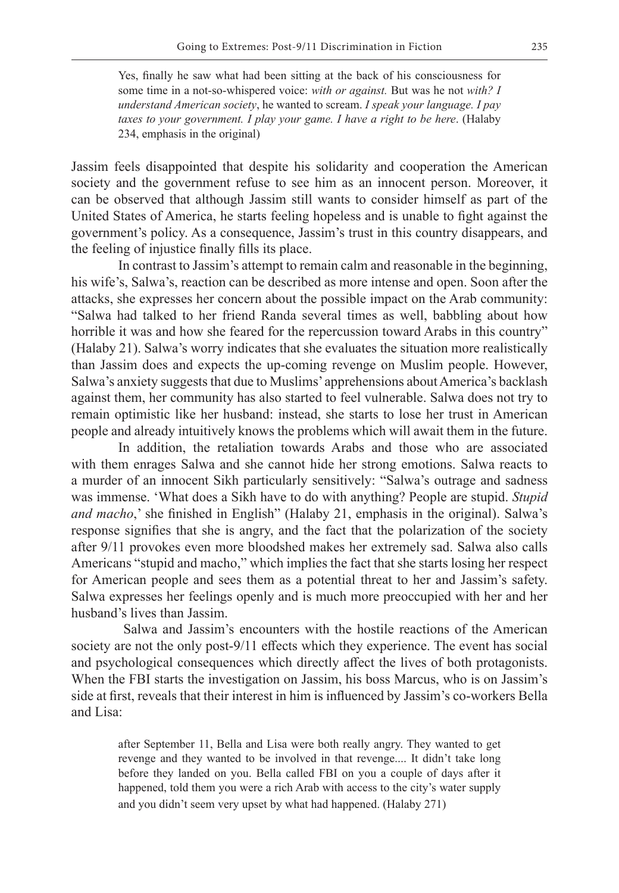Yes, finally he saw what had been sitting at the back of his consciousness for some time in a not-so-whispered voice: *with or against.* But was he not *with? I understand American society*, he wanted to scream. *I speak your language. I pay taxes to your government. I play your game. I have a right to be here*. (Halaby 234, emphasis in the original)

Jassim feels disappointed that despite his solidarity and cooperation the American society and the government refuse to see him as an innocent person. Moreover, it can be observed that although Jassim still wants to consider himself as part of the United States of America, he starts feeling hopeless and is unable to fight against the government's policy. As a consequence, Jassim's trust in this country disappears, and the feeling of injustice finally fills its place.

In contrast to Jassim's attempt to remain calm and reasonable in the beginning, his wife's, Salwa's, reaction can be described as more intense and open. Soon after the attacks, she expresses her concern about the possible impact on the Arab community: "Salwa had talked to her friend Randa several times as well, babbling about how horrible it was and how she feared for the repercussion toward Arabs in this country" (Halaby 21). Salwa's worry indicates that she evaluates the situation more realistically than Jassim does and expects the up-coming revenge on Muslim people. However, Salwa's anxiety suggests that due to Muslims' apprehensions about America's backlash against them, her community has also started to feel vulnerable. Salwa does not try to remain optimistic like her husband: instead, she starts to lose her trust in American people and already intuitively knows the problems which will await them in the future.

In addition, the retaliation towards Arabs and those who are associated with them enrages Salwa and she cannot hide her strong emotions. Salwa reacts to a murder of an innocent Sikh particularly sensitively: "Salwa's outrage and sadness was immense. 'What does a Sikh have to do with anything? People are stupid. *Stupid and macho*,' she finished in English" (Halaby 21, emphasis in the original). Salwa's response signifies that she is angry, and the fact that the polarization of the society after 9/11 provokes even more bloodshed makes her extremely sad. Salwa also calls Americans "stupid and macho," which implies the fact that she starts losing her respect for American people and sees them as a potential threat to her and Jassim's safety. Salwa expresses her feelings openly and is much more preoccupied with her and her husband's lives than Jassim.

 Salwa and Jassim's encounters with the hostile reactions of the American society are not the only post-9/11 effects which they experience. The event has social and psychological consequences which directly affect the lives of both protagonists. When the FBI starts the investigation on Jassim, his boss Marcus, who is on Jassim's side at first, reveals that their interest in him is influenced by Jassim's co-workers Bella and Lisa:

after September 11, Bella and Lisa were both really angry. They wanted to get revenge and they wanted to be involved in that revenge.... It didn't take long before they landed on you. Bella called FBI on you a couple of days after it happened, told them you were a rich Arab with access to the city's water supply and you didn't seem very upset by what had happened. (Halaby 271)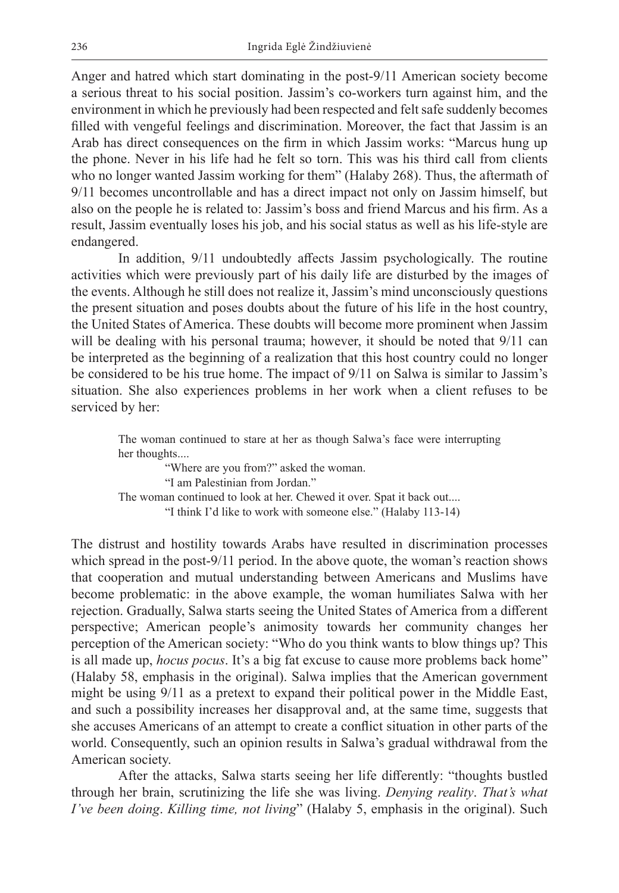Anger and hatred which start dominating in the post-9/11 American society become a serious threat to his social position. Jassim's co-workers turn against him, and the environment in which he previously had been respected and felt safe suddenly becomes filled with vengeful feelings and discrimination. Moreover, the fact that Jassim is an Arab has direct consequences on the firm in which Jassim works: "Marcus hung up the phone. Never in his life had he felt so torn. This was his third call from clients who no longer wanted Jassim working for them" (Halaby 268). Thus, the aftermath of 9/11 becomes uncontrollable and has a direct impact not only on Jassim himself, but also on the people he is related to: Jassim's boss and friend Marcus and his firm. As a result, Jassim eventually loses his job, and his social status as well as his life-style are endangered.

In addition, 9/11 undoubtedly affects Jassim psychologically. The routine activities which were previously part of his daily life are disturbed by the images of the events. Although he still does not realize it, Jassim's mind unconsciously questions the present situation and poses doubts about the future of his life in the host country, the United States of America. These doubts will become more prominent when Jassim will be dealing with his personal trauma; however, it should be noted that  $9/11$  can be interpreted as the beginning of a realization that this host country could no longer be considered to be his true home. The impact of 9/11 on Salwa is similar to Jassim's situation. She also experiences problems in her work when a client refuses to be serviced by her:

The woman continued to stare at her as though Salwa's face were interrupting her thoughts....

"Where are you from?" asked the woman. "I am Palestinian from Jordan." The woman continued to look at her. Chewed it over. Spat it back out.... "I think I'd like to work with someone else." (Halaby 113-14)

The distrust and hostility towards Arabs have resulted in discrimination processes which spread in the post-9/11 period. In the above quote, the woman's reaction shows that cooperation and mutual understanding between Americans and Muslims have become problematic: in the above example, the woman humiliates Salwa with her rejection. Gradually, Salwa starts seeing the United States of America from a different perspective; American people's animosity towards her community changes her perception of the American society: "Who do you think wants to blow things up? This is all made up, *hocus pocus*. It's a big fat excuse to cause more problems back home" (Halaby 58, emphasis in the original). Salwa implies that the American government might be using 9/11 as a pretext to expand their political power in the Middle East, and such a possibility increases her disapproval and, at the same time, suggests that she accuses Americans of an attempt to create a conflict situation in other parts of the world. Consequently, such an opinion results in Salwa's gradual withdrawal from the American society.

After the attacks, Salwa starts seeing her life differently: "thoughts bustled through her brain, scrutinizing the life she was living. *Denying reality*. *That's what I've been doing*. *Killing time, not living*" (Halaby 5, emphasis in the original). Such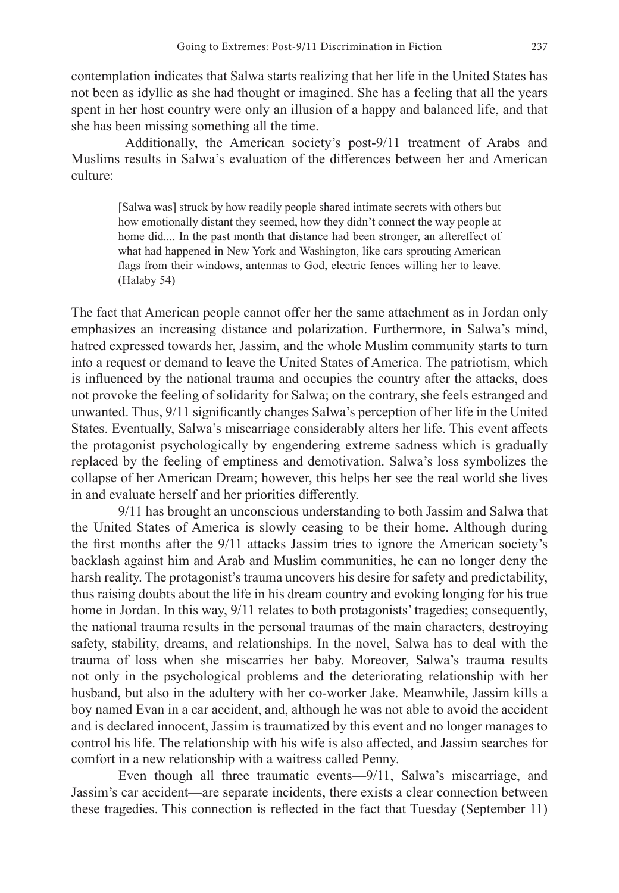contemplation indicates that Salwa starts realizing that her life in the United States has not been as idyllic as she had thought or imagined. She has a feeling that all the years spent in her host country were only an illusion of a happy and balanced life, and that she has been missing something all the time.

 Additionally, the American society's post-9/11 treatment of Arabs and Muslims results in Salwa's evaluation of the differences between her and American culture:

[Salwa was] struck by how readily people shared intimate secrets with others but how emotionally distant they seemed, how they didn't connect the way people at home did.... In the past month that distance had been stronger, an aftereffect of what had happened in New York and Washington, like cars sprouting American flags from their windows, antennas to God, electric fences willing her to leave. (Halaby 54)

The fact that American people cannot offer her the same attachment as in Jordan only emphasizes an increasing distance and polarization. Furthermore, in Salwa's mind, hatred expressed towards her, Jassim, and the whole Muslim community starts to turn into a request or demand to leave the United States of America. The patriotism, which is influenced by the national trauma and occupies the country after the attacks, does not provoke the feeling of solidarity for Salwa; on the contrary, she feels estranged and unwanted. Thus, 9/11 significantly changes Salwa's perception of her life in the United States. Eventually, Salwa's miscarriage considerably alters her life. This event affects the protagonist psychologically by engendering extreme sadness which is gradually replaced by the feeling of emptiness and demotivation. Salwa's loss symbolizes the collapse of her American Dream; however, this helps her see the real world she lives in and evaluate herself and her priorities differently.

9/11 has brought an unconscious understanding to both Jassim and Salwa that the United States of America is slowly ceasing to be their home. Although during the first months after the 9/11 attacks Jassim tries to ignore the American society's backlash against him and Arab and Muslim communities, he can no longer deny the harsh reality. The protagonist's trauma uncovers his desire for safety and predictability, thus raising doubts about the life in his dream country and evoking longing for his true home in Jordan. In this way, 9/11 relates to both protagonists' tragedies; consequently, the national trauma results in the personal traumas of the main characters, destroying safety, stability, dreams, and relationships. In the novel, Salwa has to deal with the trauma of loss when she miscarries her baby. Moreover, Salwa's trauma results not only in the psychological problems and the deteriorating relationship with her husband, but also in the adultery with her co-worker Jake. Meanwhile, Jassim kills a boy named Evan in a car accident, and, although he was not able to avoid the accident and is declared innocent, Jassim is traumatized by this event and no longer manages to control his life. The relationship with his wife is also affected, and Jassim searches for comfort in a new relationship with a waitress called Penny.

Even though all three traumatic events—9/11, Salwa's miscarriage, and Jassim's car accident—are separate incidents, there exists a clear connection between these tragedies. This connection is reflected in the fact that Tuesday (September 11)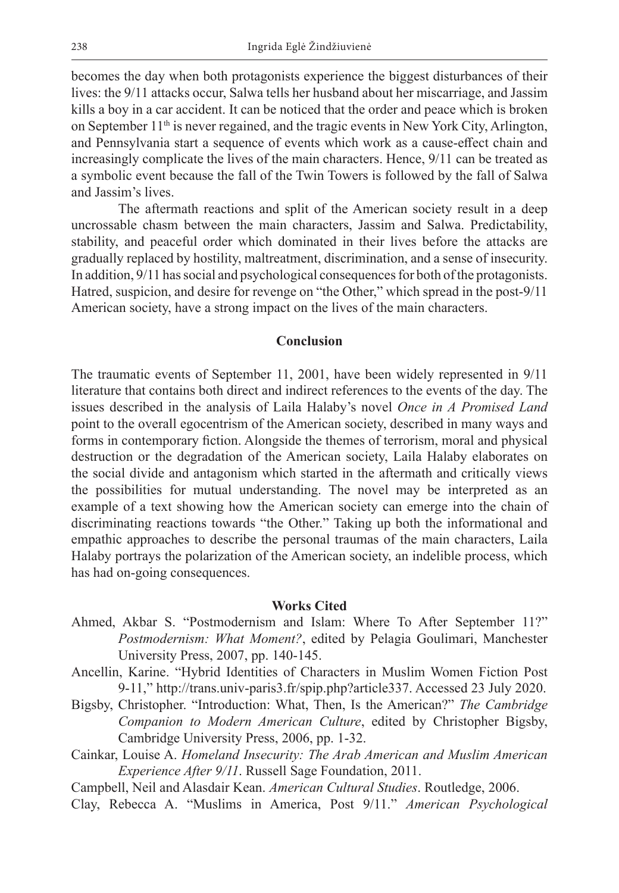becomes the day when both protagonists experience the biggest disturbances of their lives: the 9/11 attacks occur, Salwa tells her husband about her miscarriage, and Jassim kills a boy in a car accident. It can be noticed that the order and peace which is broken on September 11<sup>th</sup> is never regained, and the tragic events in New York City, Arlington, and Pennsylvania start a sequence of events which work as a cause-effect chain and increasingly complicate the lives of the main characters. Hence, 9/11 can be treated as a symbolic event because the fall of the Twin Towers is followed by the fall of Salwa and Jassim's lives.

The aftermath reactions and split of the American society result in a deep uncrossable chasm between the main characters, Jassim and Salwa. Predictability, stability, and peaceful order which dominated in their lives before the attacks are gradually replaced by hostility, maltreatment, discrimination, and a sense of insecurity. In addition, 9/11 has social and psychological consequences for both of the protagonists. Hatred, suspicion, and desire for revenge on "the Other," which spread in the post-9/11 American society, have a strong impact on the lives of the main characters.

### **Conclusion**

The traumatic events of September 11, 2001, have been widely represented in 9/11 literature that contains both direct and indirect references to the events of the day. The issues described in the analysis of Laila Halaby's novel *Once in A Promised Land* point to the overall egocentrism of the American society, described in many ways and forms in contemporary fiction. Alongside the themes of terrorism, moral and physical destruction or the degradation of the American society, Laila Halaby elaborates on the social divide and antagonism which started in the aftermath and critically views the possibilities for mutual understanding. The novel may be interpreted as an example of a text showing how the American society can emerge into the chain of discriminating reactions towards "the Other." Taking up both the informational and empathic approaches to describe the personal traumas of the main characters, Laila Halaby portrays the polarization of the American society, an indelible process, which has had on-going consequences.

#### **Works Cited**

- Ahmed, Akbar S. "Postmodernism and Islam: Where To After September 11?" *Postmodernism: What Moment?*, edited by Pelagia Goulimari, Manchester University Press, 2007, pp. 140-145.
- Ancellin, Karine. "Hybrid Identities of Characters in Muslim Women Fiction Post 9-11," http://trans.univ-paris3.fr/spip.php?article337. Accessed 23 July 2020.
- Bigsby, Christopher. "Introduction: What, Then, Is the American?" *The Cambridge Companion to Modern American Culture*, edited by Christopher Bigsby, Cambridge University Press, 2006, pp. 1-32.
- Cainkar, Louise A. *Homeland Insecurity: The Arab American and Muslim American Experience After 9/11*. Russell Sage Foundation, 2011.

Campbell, Neil and Alasdair Kean. *American Cultural Studies*. Routledge, 2006.

Clay, Rebecca A. "Muslims in America, Post 9/11." *American Psychological*